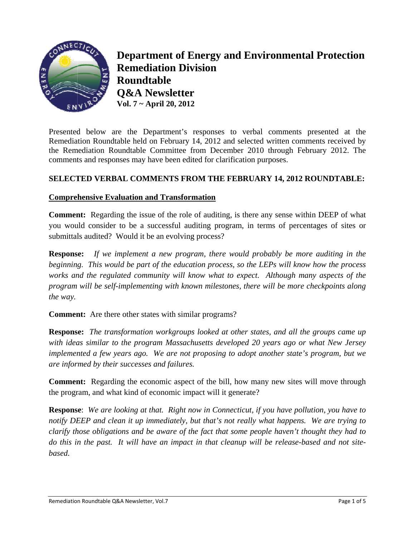

**Department of Energy and Environmental Protection Remediation Division Roundtable O&A Newsletter** Vol.  $7 \sim$  April 20, 2012

Presented below are the Department's responses to verbal comments presented at the Remediation Roundtable held on February 14, 2012 and selected written comments received by the Remediation Roundtable Committee from December 2010 through February 2012. The comments and responses may have been edited for clarification purposes.

## **SELECTED VERBAL COMMENTS FROM THE FEBRUARY 14, 2012 ROUNDTABLE:**

#### **Comprehensive Evaluation and Transformation**

**Comment:** Regarding the issue of the role of auditing, is there any sense within DEEP of what you would consider to be a successful auditing program, in terms of percentages of sites or submittals audited? Would it be an evolving process?

If we implement a new program, there would probably be more auditing in the **Response:** beginning. This would be part of the education process, so the LEPs will know how the process works and the regulated community will know what to expect. Although many aspects of the program will be self-implementing with known milestones, there will be more checkpoints along the way.

**Comment:** Are there other states with similar programs?

**Response:** The transformation workgroups looked at other states, and all the groups came up with ideas similar to the program Massachusetts developed 20 years ago or what New Jersey implemented a few years ago. We are not proposing to adopt another state's program, but we are informed by their successes and failures.

**Comment:** Regarding the economic aspect of the bill, how many new sites will move through the program, and what kind of economic impact will it generate?

**Response:** We are looking at that. Right now in Connecticut, if you have pollution, you have to notify DEEP and clean it up immediately, but that's not really what happens. We are trying to clarify those obligations and be aware of the fact that some people haven't thought they had to do this in the past. It will have an impact in that cleanup will be release-based and not sitebased.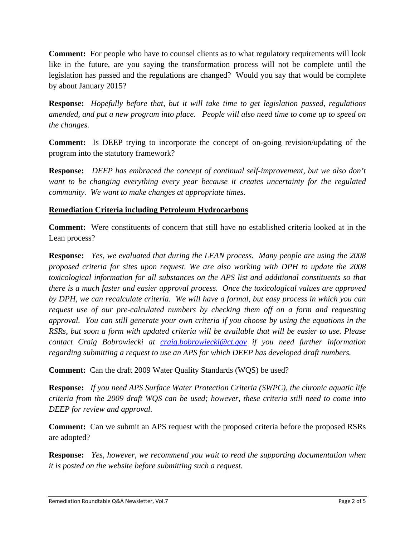**Comment:** For people who have to counsel clients as to what regulatory requirements will look like in the future, are you saying the transformation process will not be complete until the legislation has passed and the regulations are changed? Would you say that would be complete by about January 2015?

**Response:** *Hopefully before that, but it will take time to get legislation passed, regulations amended, and put a new program into place. People will also need time to come up to speed on the changes.* 

**Comment:** Is DEEP trying to incorporate the concept of on-going revision/updating of the program into the statutory framework?

**Response:** *DEEP has embraced the concept of continual self-improvement, but we also don't want to be changing everything every year because it creates uncertainty for the regulated community. We want to make changes at appropriate times.* 

## **Remediation Criteria including Petroleum Hydrocarbons**

**Comment:** Were constituents of concern that still have no established criteria looked at in the Lean process?

**Response:** *Yes, we evaluated that during the LEAN process. Many people are using the 2008 proposed criteria for sites upon request. We are also working with DPH to update the 2008 toxicological information for all substances on the APS list and additional constituents so that there is a much faster and easier approval process. Once the toxicological values are approved by DPH, we can recalculate criteria. We will have a formal, but easy process in which you can request use of our pre-calculated numbers by checking them off on a form and requesting approval. You can still generate your own criteria if you choose by using the equations in the RSRs, but soon a form with updated criteria will be available that will be easier to use. Please contact Craig Bobrowiecki at craig.bobrowiecki@ct.gov if you need further information regarding submitting a request to use an APS for which DEEP has developed draft numbers.* 

**Comment:** Can the draft 2009 Water Quality Standards (WQS) be used?

**Response:** *If you need APS Surface Water Protection Criteria (SWPC), the chronic aquatic life criteria from the 2009 draft WQS can be used; however, these criteria still need to come into DEEP for review and approval.* 

**Comment:** Can we submit an APS request with the proposed criteria before the proposed RSRs are adopted?

**Response:** *Yes, however, we recommend you wait to read the supporting documentation when it is posted on the website before submitting such a request.*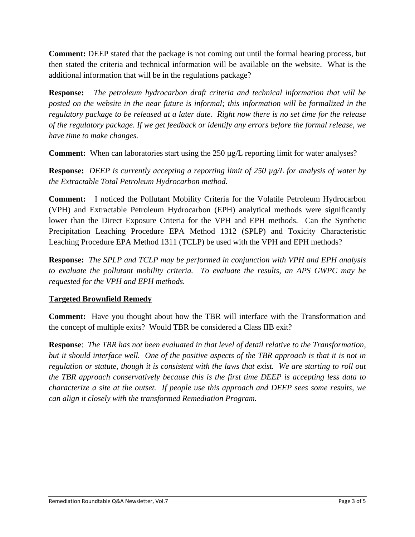**Comment:** DEEP stated that the package is not coming out until the formal hearing process, but then stated the criteria and technical information will be available on the website. What is the additional information that will be in the regulations package?

**Response:** *The petroleum hydrocarbon draft criteria and technical information that will be posted on the website in the near future is informal; this information will be formalized in the regulatory package to be released at a later date. Right now there is no set time for the release of the regulatory package. If we get feedback or identify any errors before the formal release, we have time to make changes.* 

**Comment:** When can laboratories start using the 250 µg/L reporting limit for water analyses?

**Response:** *DEEP is currently accepting a reporting limit of 250 µg/L for analysis of water by the Extractable Total Petroleum Hydrocarbon method.* 

**Comment:** I noticed the Pollutant Mobility Criteria for the Volatile Petroleum Hydrocarbon (VPH) and Extractable Petroleum Hydrocarbon (EPH) analytical methods were significantly lower than the Direct Exposure Criteria for the VPH and EPH methods. Can the Synthetic Precipitation Leaching Procedure EPA Method 1312 (SPLP) and Toxicity Characteristic Leaching Procedure EPA Method 1311 (TCLP) be used with the VPH and EPH methods?

**Response:** *The SPLP and TCLP may be performed in conjunction with VPH and EPH analysis to evaluate the pollutant mobility criteria. To evaluate the results, an APS GWPC may be requested for the VPH and EPH methods.* 

# **Targeted Brownfield Remedy**

**Comment:** Have you thought about how the TBR will interface with the Transformation and the concept of multiple exits? Would TBR be considered a Class IIB exit?

**Response**: *The TBR has not been evaluated in that level of detail relative to the Transformation, but it should interface well. One of the positive aspects of the TBR approach is that it is not in regulation or statute, though it is consistent with the laws that exist. We are starting to roll out the TBR approach conservatively because this is the first time DEEP is accepting less data to characterize a site at the outset. If people use this approach and DEEP sees some results, we can align it closely with the transformed Remediation Program.*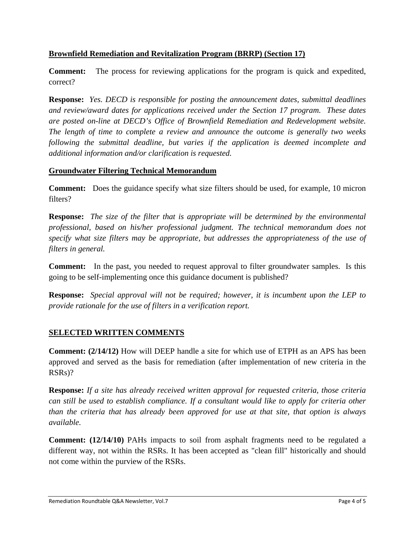## **Brownfield Remediation and Revitalization Program (BRRP) (Section 17)**

**Comment:** The process for reviewing applications for the program is quick and expedited, correct?

**Response:** *Yes. DECD is responsible for posting the announcement dates, submittal deadlines and review/award dates for applications received under the Section 17 program. These dates are posted on-line at DECD's Office of Brownfield Remediation and Redevelopment website. The length of time to complete a review and announce the outcome is generally two weeks following the submittal deadline, but varies if the application is deemed incomplete and additional information and/or clarification is requested.* 

#### **Groundwater Filtering Technical Memorandum**

**Comment:** Does the guidance specify what size filters should be used, for example, 10 micron filters?

**Response:** *The size of the filter that is appropriate will be determined by the environmental professional, based on his/her professional judgment. The technical memorandum does not specify what size filters may be appropriate, but addresses the appropriateness of the use of filters in general.* 

**Comment:** In the past, you needed to request approval to filter groundwater samples. Is this going to be self-implementing once this guidance document is published?

**Response:** *Special approval will not be required; however, it is incumbent upon the LEP to provide rationale for the use of filters in a verification report.* 

# **SELECTED WRITTEN COMMENTS**

**Comment: (2/14/12)** How will DEEP handle a site for which use of ETPH as an APS has been approved and served as the basis for remediation (after implementation of new criteria in the RSRs)?

**Response:** *If a site has already received written approval for requested criteria, those criteria can still be used to establish compliance. If a consultant would like to apply for criteria other than the criteria that has already been approved for use at that site, that option is always available.*

**Comment: (12/14/10)** PAHs impacts to soil from asphalt fragments need to be regulated a different way, not within the RSRs. It has been accepted as "clean fill" historically and should not come within the purview of the RSRs.